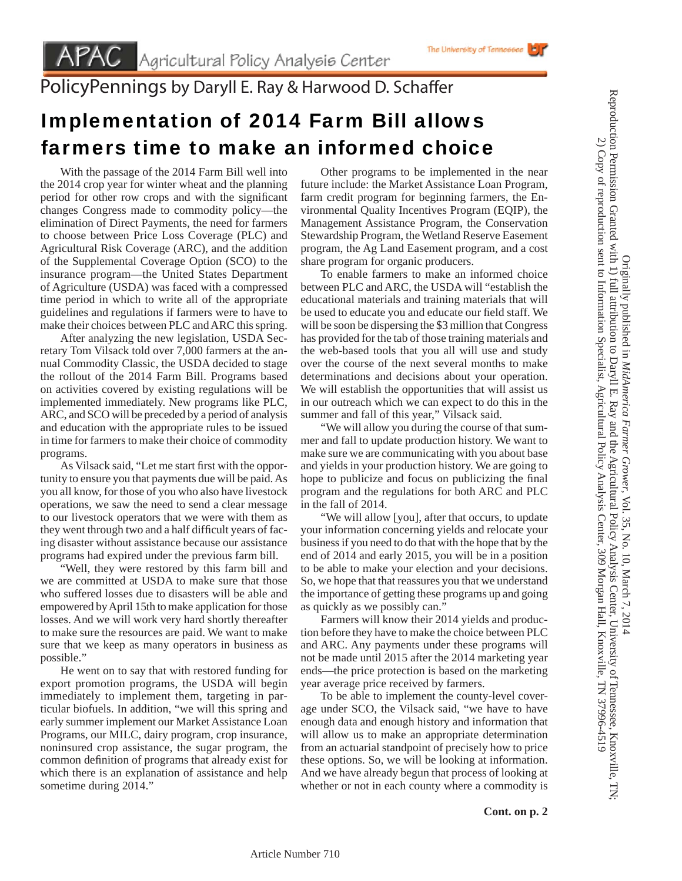PolicyPennings by Daryll E. Ray & Harwood D. Schaffer

## Implementation of 2014 Farm Bill allows farmers time to make an informed choice

 With the passage of the 2014 Farm Bill well into the 2014 crop year for winter wheat and the planning period for other row crops and with the significant changes Congress made to commodity policy—the elimination of Direct Payments, the need for farmers to choose between Price Loss Coverage (PLC) and Agricultural Risk Coverage (ARC), and the addition of the Supplemental Coverage Option (SCO) to the insurance program—the United States Department of Agriculture (USDA) was faced with a compressed time period in which to write all of the appropriate guidelines and regulations if farmers were to have to make their choices between PLC and ARC this spring.

 After analyzing the new legislation, USDA Secretary Tom Vilsack told over 7,000 farmers at the annual Commodity Classic, the USDA decided to stage the rollout of the 2014 Farm Bill. Programs based on activities covered by existing regulations will be implemented immediately. New programs like PLC, ARC, and SCO will be preceded by a period of analysis and education with the appropriate rules to be issued in time for farmers to make their choice of commodity programs.

As Vilsack said, "Let me start first with the opportunity to ensure you that payments due will be paid. As you all know, for those of you who also have livestock operations, we saw the need to send a clear message to our livestock operators that we were with them as they went through two and a half difficult years of facing disaster without assistance because our assistance programs had expired under the previous farm bill.

 "Well, they were restored by this farm bill and we are committed at USDA to make sure that those who suffered losses due to disasters will be able and empowered by April 15th to make application for those losses. And we will work very hard shortly thereafter to make sure the resources are paid. We want to make sure that we keep as many operators in business as possible."

 He went on to say that with restored funding for export promotion programs, the USDA will begin immediately to implement them, targeting in particular biofuels. In addition, "we will this spring and early summer implement our Market Assistance Loan Programs, our MILC, dairy program, crop insurance, noninsured crop assistance, the sugar program, the common definition of programs that already exist for which there is an explanation of assistance and help sometime during 2014."

 Other programs to be implemented in the near future include: the Market Assistance Loan Program, farm credit program for beginning farmers, the Environmental Quality Incentives Program (EQIP), the Management Assistance Program, the Conservation Stewardship Program, the Wetland Reserve Easement program, the Ag Land Easement program, and a cost share program for organic producers.

 To enable farmers to make an informed choice between PLC and ARC, the USDA will "establish the educational materials and training materials that will be used to educate you and educate our field staff. We will be soon be dispersing the \$3 million that Congress has provided for the tab of those training materials and the web-based tools that you all will use and study over the course of the next several months to make determinations and decisions about your operation. We will establish the opportunities that will assist us in our outreach which we can expect to do this in the summer and fall of this year," Vilsack said.

 "We will allow you during the course of that summer and fall to update production history. We want to make sure we are communicating with you about base and yields in your production history. We are going to hope to publicize and focus on publicizing the final program and the regulations for both ARC and PLC in the fall of 2014.

 "We will allow [you], after that occurs, to update your information concerning yields and relocate your business if you need to do that with the hope that by the end of 2014 and early 2015, you will be in a position to be able to make your election and your decisions. So, we hope that that reassures you that we understand the importance of getting these programs up and going as quickly as we possibly can."

 Farmers will know their 2014 yields and production before they have to make the choice between PLC and ARC. Any payments under these programs will not be made until 2015 after the 2014 marketing year ends—the price protection is based on the marketing year average price received by farmers.

 To be able to implement the county-level coverage under SCO, the Vilsack said, "we have to have enough data and enough history and information that will allow us to make an appropriate determination from an actuarial standpoint of precisely how to price these options. So, we will be looking at information. And we have already begun that process of looking at whether or not in each county where a commodity is